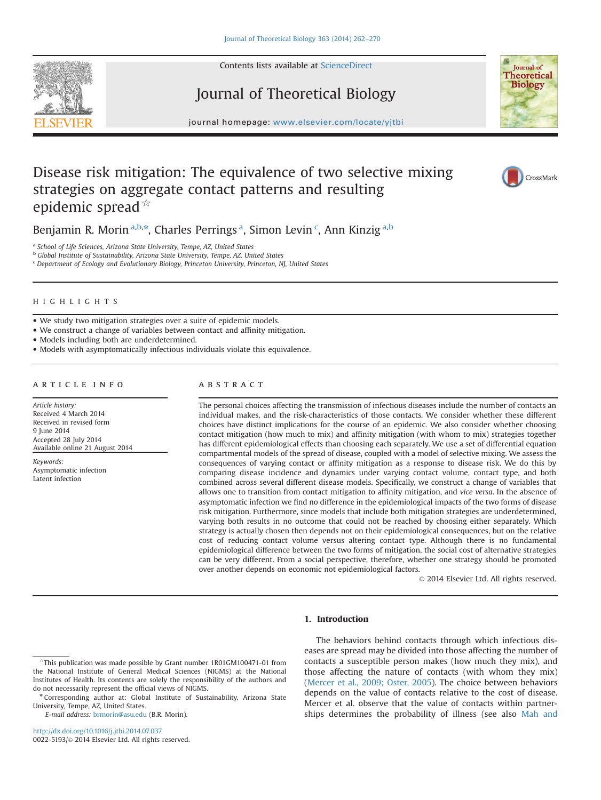Contents lists available at [ScienceDirect](www.sciencedirect.com/science/journal/00225193)



Journal of Theoretical Biology



journal homepage: <www.elsevier.com/locate/yjtbi>

# Disease risk mitigation: The equivalence of two selective mixing strategies on aggregate contact patterns and resulting epidemic spread  $\overrightarrow{A}$



Benjamin R. Morin<sup>a,b,\*</sup>, Charles Perrings<sup>a</sup>, Simon Levin<sup>c</sup>, Ann Kinzig<sup>a,b</sup>

a School of Life Sciences, Arizona State University, Tempe, AZ, United States

**b Global Institute of Sustainability, Arizona State University, Tempe, AZ, United States** <sup>c</sup> Department of Ecology and Evolutionary Biology, Princeton University, Princeton, NJ, United States

# HIGHLIGHTS

We study two mitigation strategies over a suite of epidemic models.

We construct a change of variables between contact and affinity mitigation.

Models including both are underdetermined.

Models with asymptomatically infectious individuals violate this equivalence.

### article info

Article history: Received 4 March 2014 Received in revised form 9 June 2014 Accepted 28 July 2014 Available online 21 August 2014

Keywords: Asymptomatic infection Latent infection

# **ABSTRACT**

The personal choices affecting the transmission of infectious diseases include the number of contacts an individual makes, and the risk-characteristics of those contacts. We consider whether these different choices have distinct implications for the course of an epidemic. We also consider whether choosing contact mitigation (how much to mix) and affinity mitigation (with whom to mix) strategies together has different epidemiological effects than choosing each separately. We use a set of differential equation compartmental models of the spread of disease, coupled with a model of selective mixing. We assess the consequences of varying contact or affinity mitigation as a response to disease risk. We do this by comparing disease incidence and dynamics under varying contact volume, contact type, and both combined across several different disease models. Specifically, we construct a change of variables that allows one to transition from contact mitigation to affinity mitigation, and vice versa. In the absence of asymptomatic infection we find no difference in the epidemiological impacts of the two forms of disease risk mitigation. Furthermore, since models that include both mitigation strategies are underdetermined, varying both results in no outcome that could not be reached by choosing either separately. Which strategy is actually chosen then depends not on their epidemiological consequences, but on the relative cost of reducing contact volume versus altering contact type. Although there is no fundamental epidemiological difference between the two forms of mitigation, the social cost of alternative strategies can be very different. From a social perspective, therefore, whether one strategy should be promoted over another depends on economic not epidemiological factors.

 $\odot$  2014 Elsevier Ltd. All rights reserved.

# 1. Introduction

E-mail address: [brmorin@asu.edu](mailto:brmorin@asu.edu) (B.R. Morin).

<http://dx.doi.org/10.1016/j.jtbi.2014.07.037> 0022-5193/@ 2014 Elsevier Ltd. All rights reserved.

The behaviors behind contacts through which infectious diseases are spread may be divided into those affecting the number of contacts a susceptible person makes (how much they mix), and those affecting the nature of contacts (with whom they mix) ([Mercer et al., 2009; Oster, 2005\)](#page-8-0). The choice between behaviors depends on the value of contacts relative to the cost of disease. Mercer et al. observe that the value of contacts within partnerships determines the probability of illness (see also [Mah and](#page-8-0)

<sup>☆</sup>This publication was made possible by Grant number 1R01GM100471-01 from the National Institute of General Medical Sciences (NIGMS) at the National Institutes of Health. Its contents are solely the responsibility of the authors and do not necessarily represent the official views of NIGMS.

<sup>\*</sup> Corresponding author at: Global Institute of Sustainability, Arizona State University, Tempe, AZ, United States.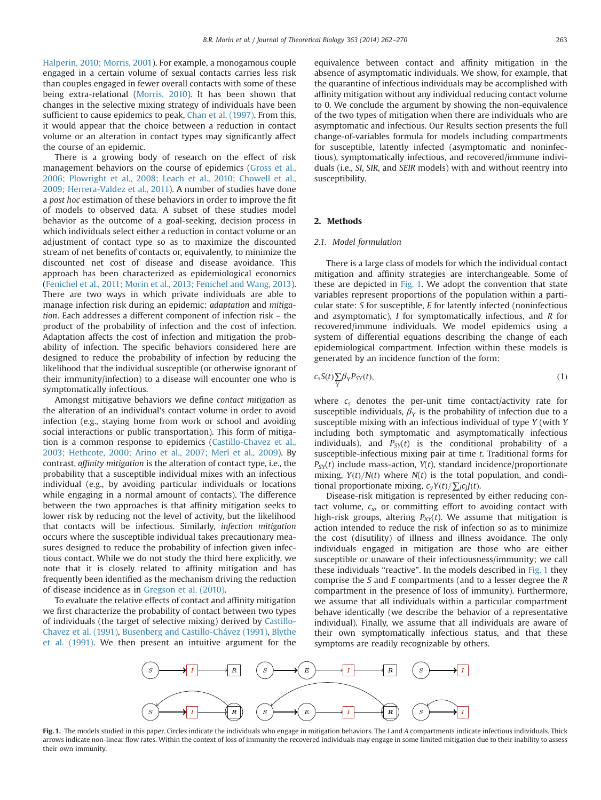<span id="page-1-0"></span>[Halperin, 2010; Morris, 2001\)](#page-8-0). For example, a monogamous couple engaged in a certain volume of sexual contacts carries less risk than couples engaged in fewer overall contacts with some of these being extra-relational [\(Morris, 2010\)](#page-8-0). It has been shown that changes in the selective mixing strategy of individuals have been sufficient to cause epidemics to peak, [Chan et al. \(1997\).](#page-8-0) From this, it would appear that the choice between a reduction in contact volume or an alteration in contact types may significantly affect the course of an epidemic.

There is a growing body of research on the effect of risk management behaviors on the course of epidemics [\(Gross et al.,](#page-8-0) [2006; Plowright et al., 2008; Leach et al., 2010; Chowell et al.,](#page-8-0) [2009; Herrera-Valdez et al., 2011\)](#page-8-0). A number of studies have done a post hoc estimation of these behaviors in order to improve the fit of models to observed data. A subset of these studies model behavior as the outcome of a goal-seeking, decision process in which individuals select either a reduction in contact volume or an adjustment of contact type so as to maximize the discounted stream of net benefits of contacts or, equivalently, to minimize the discounted net cost of disease and disease avoidance. This approach has been characterized as epidemiological economics ([Fenichel et al., 2011; Morin et al., 2013; Fenichel and Wang, 2013\)](#page-8-0). There are two ways in which private individuals are able to manage infection risk during an epidemic: adaptation and mitigation. Each addresses a different component of infection risk – the product of the probability of infection and the cost of infection. Adaptation affects the cost of infection and mitigation the probability of infection. The specific behaviors considered here are designed to reduce the probability of infection by reducing the likelihood that the individual susceptible (or otherwise ignorant of their immunity/infection) to a disease will encounter one who is symptomatically infectious.

Amongst mitigative behaviors we define contact mitigation as the alteration of an individual's contact volume in order to avoid infection (e.g., staying home from work or school and avoiding social interactions or public transportation). This form of mitigation is a common response to epidemics [\(Castillo-Chavez et al.,](#page-8-0) [2003; Hethcote, 2000; Arino et al., 2007; Merl et al., 2009\)](#page-8-0). By contrast, affinity mitigation is the alteration of contact type, i.e., the probability that a susceptible individual mixes with an infectious individual (e.g., by avoiding particular individuals or locations while engaging in a normal amount of contacts). The difference between the two approaches is that affinity mitigation seeks to lower risk by reducing not the level of activity, but the likelihood that contacts will be infectious. Similarly, infection mitigation occurs where the susceptible individual takes precautionary measures designed to reduce the probability of infection given infectious contact. While we do not study the third here explicitly, we note that it is closely related to affinity mitigation and has frequently been identified as the mechanism driving the reduction of disease incidence as in [Gregson et al. \(2010\)](#page-8-0).

To evaluate the relative effects of contact and affinity mitigation we first characterize the probability of contact between two types of individuals (the target of selective mixing) derived by [Castillo-](#page-8-0)[Chavez et al. \(1991\),](#page-8-0) [Busenberg and Castillo-Chávez \(1991\)](#page-8-0), [Blythe](#page-8-0) [et al. \(1991\).](#page-8-0) We then present an intuitive argument for the equivalence between contact and affinity mitigation in the absence of asymptomatic individuals. We show, for example, that the quarantine of infectious individuals may be accomplished with affinity mitigation without any individual reducing contact volume to 0. We conclude the argument by showing the non-equivalence of the two types of mitigation when there are individuals who are asymptomatic and infectious. Our Results section presents the full change-of-variables formula for models including compartments for susceptible, latently infected (asymptomatic and noninfectious), symptomatically infectious, and recovered/immune individuals (i.e., SI, SIR, and SEIR models) with and without reentry into susceptibility.

# 2. Methods

# 2.1. Model formulation

There is a large class of models for which the individual contact mitigation and affinity strategies are interchangeable. Some of these are depicted in Fig. 1. We adopt the convention that state variables represent proportions of the population within a particular state: S for susceptible, E for latently infected (noninfectious and asymptomatic), I for symptomatically infectious, and R for recovered/immune individuals. We model epidemics using a system of differential equations describing the change of each epidemiological compartment. Infection within these models is generated by an incidence function of the form:

$$
c_s S(t) \sum_{Y} \beta_Y P_{SY}(t), \tag{1}
$$

where  $c_s$  denotes the per-unit time contact/activity rate for susceptible individuals,  $\beta_Y$  is the probability of infection due to a susceptible mixing with an infectious individual of type Y (with Y including both symptomatic and asymptomatically infectious individuals), and  $P_{\text{S}}(t)$  is the conditional probability of a susceptible-infectious mixing pair at time t. Traditional forms for  $P_{SV}(t)$  include mass-action,  $Y(t)$ , standard incidence/proportionate mixing,  $Y(t)/N(t)$  where  $N(t)$  is the total population, and conditional proportionate mixing,  $c_yY(t)/\sum_j c_jJ(t)$ .

Disease-risk mitigation is represented by either reducing contact volume,  $c_x$ , or committing effort to avoiding contact with high-risk groups, altering  $P_{XY}(t)$ . We assume that mitigation is action intended to reduce the risk of infection so as to minimize the cost (disutility) of illness and illness avoidance. The only individuals engaged in mitigation are those who are either susceptible or unaware of their infectiousness/immunity; we call these individuals "reactive". In the models described in Fig. 1 they comprise the S and E compartments (and to a lesser degree the R compartment in the presence of loss of immunity). Furthermore, we assume that all individuals within a particular compartment behave identically (we describe the behavior of a representative individual). Finally, we assume that all individuals are aware of their own symptomatically infectious status, and that these symptoms are readily recognizable by others.



Fig. 1. The models studied in this paper. Circles indicate the individuals who engage in mitigation behaviors. The I and A compartments indicate infectious individuals. Thick arrows indicate non-linear flow rates. Within the context of loss of immunity the recovered individuals may engage in some limited mitigation due to their inability to assess their own immunity.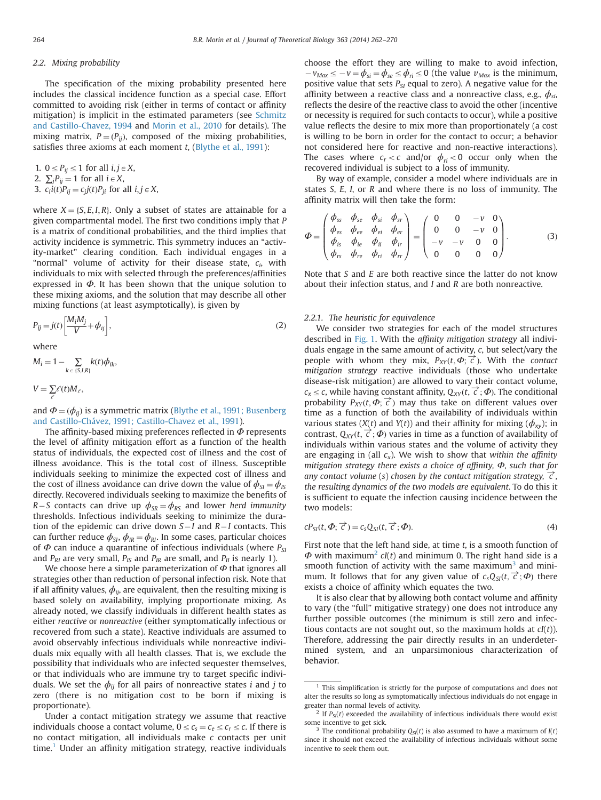## 2.2. Mixing probability

The specification of the mixing probability presented here includes the classical incidence function as a special case. Effort committed to avoiding risk (either in terms of contact or affinity mitigation) is implicit in the estimated parameters (see [Schmitz](#page-8-0) [and Castillo-Chavez, 1994](#page-8-0) and [Morin et al., 2010](#page-8-0) for details). The mixing matrix,  $P = (P_{ij})$ , composed of the mixing probabilities, satisfies three axioms at each moment  $t$ , ([Blythe et al., 1991\)](#page-8-0):

\n- 1. 
$$
0 \le P_{ij} \le 1
$$
 for all  $i, j \in X$ ,
\n- 2.  $\sum_j P_{ij} = 1$  for all  $i \in X$ ,
\n- 3.  $c_i i(t) P_{ij} = c_j j(t) P_{ji}$  for all  $i, j \in X$ ,
\n

where  $X = \{S, E, I, R\}$ . Only a subset of states are attainable for a given compartmental model. The first two conditions imply that P is a matrix of conditional probabilities, and the third implies that activity incidence is symmetric. This symmetry induces an "activity-market" clearing condition. Each individual engages in a "normal" volume of activity for their disease state,  $c_i$ , with individuals to mix with selected through the preferences/affinities expressed in  $\Phi$ . It has been shown that the unique solution to these mixing axioms, and the solution that may describe all other mixing functions (at least asymptotically), is given by

$$
P_{ij} = j(t) \left[ \frac{M_i M_j}{V} + \phi_{ij} \right],\tag{2}
$$

where

$$
M_i = 1 - \sum_{k \in \{S,I,R\}} k(t) \phi_{ik},
$$

 $V = \sum_{\ell} \ell(t) M_{\ell},$ 

and  $\Phi = (\phi_{ii})$  is a symmetric matrix [\(Blythe et al., 1991; Busenberg](#page-8-0) [and Castillo-Chávez, 1991; Castillo-Chavez et al., 1991](#page-8-0)).

The affinity-based mixing preferences reflected in  $\Phi$  represents the level of affinity mitigation effort as a function of the health status of individuals, the expected cost of illness and the cost of illness avoidance. This is the total cost of illness. Susceptible individuals seeking to minimize the expected cost of illness and the cost of illness avoidance can drive down the value of  $\phi_{\rm SI} = \phi_{\rm IS}$ directly. Recovered individuals seeking to maximize the benefits of R – S contacts can drive up  $\phi_{SR} = \phi_{RS}$  and lower herd immunity thresholds. Infectious individuals seeking to minimize the duration of the epidemic can drive down  $S-I$  and  $R-I$  contacts. This can further reduce  $\phi_{SI}$ ,  $\phi_{IR} = \phi_{RI}$ . In some cases, particular choices of  $\Phi$  can induce a quarantine of infectious individuals (where  $P_{SI}$ and  $P_{RI}$  are very small,  $P_{IS}$  and  $P_{IR}$  are small, and  $P_{II}$  is nearly 1).

We choose here a simple parameterization of  $\Phi$  that ignores all strategies other than reduction of personal infection risk. Note that if all affinity values,  $\phi_{ij}$ , are equivalent, then the resulting mixing is based solely on availability, implying proportionate mixing. As already noted, we classify individuals in different health states as either reactive or nonreactive (either symptomatically infectious or recovered from such a state). Reactive individuals are assumed to avoid observably infectious individuals while nonreactive individuals mix equally with all health classes. That is, we exclude the possibility that individuals who are infected sequester themselves, or that individuals who are immune try to target specific individuals. We set the  $\phi_{ij}$  for all pairs of nonreactive states *i* and *j* to zero (there is no mitigation cost to be born if mixing is proportionate).

Under a contact mitigation strategy we assume that reactive individuals choose a contact volume,  $0 \leq c_s = c_e \leq c_r \leq c$ . If there is no contact mitigation, all individuals make c contacts per unit time.<sup>1</sup> Under an affinity mitigation strategy, reactive individuals

choose the effort they are willing to make to avoid infection,  $-v_{\text{Max}} \leq -v = \phi_{si} = \phi_{se} \leq \phi_{ri} \leq 0$  (the value  $v_{\text{Max}}$  is the minimum, positive value that sets  $P_{SI}$  equal to zero). A negative value for the affinity between a reactive class and a nonreactive class, e.g.,  $\phi_{si}$ , reflects the desire of the reactive class to avoid the other (incentive or necessity is required for such contacts to occur), while a positive value reflects the desire to mix more than proportionately (a cost is willing to be born in order for the contact to occur; a behavior not considered here for reactive and non-reactive interactions). The cases where  $c_r < c$  and/or  $\phi_{ri} < 0$  occur only when the recovered individual is subject to a loss of immunity.

By way of example, consider a model where individuals are in states S, E, I, or R and where there is no loss of immunity. The affinity matrix will then take the form:

$$
\Phi = \begin{pmatrix} \phi_{ss} & \phi_{se} & \phi_{si} & \phi_{sr} \\ \phi_{es} & \phi_{ee} & \phi_{ei} & \phi_{er} \\ \phi_{is} & \phi_{ie} & \phi_{ii} & \phi_{ir} \\ \phi_{rs} & \phi_{re} & \phi_{ri} & \phi_{rr} \end{pmatrix} = \begin{pmatrix} 0 & 0 & -v & 0 \\ 0 & 0 & -v & 0 \\ -v & -v & 0 & 0 \\ 0 & 0 & 0 & 0 \end{pmatrix}.
$$
 (3)

Note that S and E are both reactive since the latter do not know about their infection status, and I and R are both nonreactive.

# 2.2.1. The heuristic for equivalence

We consider two strategies for each of the model structures described in [Fig. 1.](#page-1-0) With the affinity mitigation strategy all individuals engage in the same amount of activity, c, but select/vary the people with whom they mix,  $P_{XY}(t, \Phi; \vec{\epsilon})$ . With the contact<br>mitigation strategy reactive individuals (those who undertake mitigation strategy reactive individuals (those who undertake disease-risk mitigation) are allowed to vary their contact volume,  $c_x \leq c$ , while having constant affinity,  $Q_{XY}(t, \vec{c}; \Phi)$ . The conditional<br>probability  $P_{ext}(t, \vec{\Phi}; \vec{c})$  may thus take on different values over probability  $P_{XY}(t, \Phi; \vec{\epsilon})$  may thus take on different values over<br>time as a function of both the availability of individuals within time as a function of both the availability of individuals within various states ( $X(t)$  and  $Y(t)$ ) and their affinity for mixing ( $\phi_{xy}$ ); in contrast,  $Q_{XY}(t, \vec{c}; \Phi)$  varies in time as a function of availability of individuals within various states and the volume of activity they individuals within various states and the volume of activity they are engaging in (all  $c_x$ ). We wish to show that within the affinity mitigation strategy there exists a choice of affinity,  $\Phi$ , such that for any contact volume (s) chosen by the contact mitigation strategy,  $\vec{c}$ , the resulting dynamics of the two models are equivalent. To do this it is sufficient to equate the infection causing incidence between the two models:

$$
cP_{SI}(t, \Phi; \vec{c}) = c_s Q_{SI}(t, \vec{c}; \Phi).
$$
\n(4)

First note that the left hand side, at time  $t$ , is a smooth function of  $\Phi$  with maximum<sup>2</sup> cl(t) and minimum 0. The right hand side is a smooth function of activity with the same maximum<sup>3</sup> and minimum. It follows that for any given value of  $c_sQ_{SI}(t, \vec{c}; \Phi)$  there<br>exists a choice of affinity which equates the two exists a choice of affinity which equates the two.

It is also clear that by allowing both contact volume and affinity to vary (the "full" mitigative strategy) one does not introduce any further possible outcomes (the minimum is still zero and infectious contacts are not sought out, so the maximum holds at  $cl(t)$ ). Therefore, addressing the pair directly results in an underdetermined system, and an unparsimonious characterization of behavior.

This simplification is strictly for the purpose of computations and does not alter the results so long as symptomatically infectious individuals do not engage in greater than normal levels of activity.

<sup>&</sup>lt;sup>2</sup> If  $P_{\text{SI}}(t)$  exceeded the availability of infectious individuals there would exist some incentive to get sick.

The conditional probability  $Q_{\text{SI}}(t)$  is also assumed to have a maximum of  $I(t)$ since it should not exceed the availability of infectious individuals without some incentive to seek them out.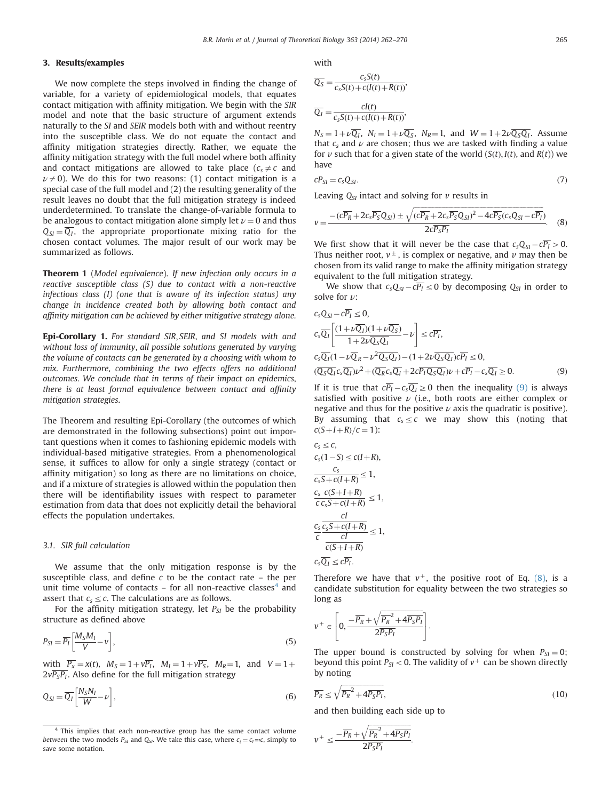# 3. Results/examples

We now complete the steps involved in finding the change of variable, for a variety of epidemiological models, that equates contact mitigation with affinity mitigation. We begin with the SIR model and note that the basic structure of argument extends naturally to the SI and SEIR models both with and without reentry into the susceptible class. We do not equate the contact and affinity mitigation strategies directly. Rather, we equate the affinity mitigation strategy with the full model where both affinity and contact mitigations are allowed to take place  $(c, \neq c)$  and  $\nu \neq 0$ ). We do this for two reasons: (1) contact mitigation is a special case of the full model and (2) the resulting generality of the result leaves no doubt that the full mitigation strategy is indeed underdetermined. To translate the change-of-variable formula to be analogous to contact mitigation alone simply let  $\nu = 0$  and thus  $Q_{SI} = \overline{Q_I}$ , the appropriate proportionate mixing ratio for the chosen contact volumes. The major result of our work may be summarized as follows.

Theorem 1 (Model equivalence). If new infection only occurs in a reactive susceptible class (S) due to contact with a non-reactive infectious class (I) (one that is aware of its infection status) any change in incidence created both by allowing both contact and affinity mitigation can be achieved by either mitigative strategy alone.

Epi-Corollary 1. For standard SIR; SEIR, and SI models with and without loss of immunity, all possible solutions generated by varying the volume of contacts can be generated by a choosing with whom to mix. Furthermore, combining the two effects offers no additional outcomes. We conclude that in terms of their impact on epidemics, there is at least formal equivalence between contact and affinity mitigation strategies.

The Theorem and resulting Epi-Corollary (the outcomes of which are demonstrated in the following subsections) point out important questions when it comes to fashioning epidemic models with individual-based mitigative strategies. From a phenomenological sense, it suffices to allow for only a single strategy (contact or affinity mitigation) so long as there are no limitations on choice, and if a mixture of strategies is allowed within the population then there will be identifiability issues with respect to parameter estimation from data that does not explicitly detail the behavioral effects the population undertakes.

## 3.1. SIR full calculation

We assume that the only mitigation response is by the susceptible class, and define  $c$  to be the contact rate – the per unit time volume of contacts  $-$  for all non-reactive classes $4$  and assert that  $c_s \leq c$ . The calculations are as follows.

For the affinity mitigation strategy, let  $P_{SI}$  be the probability structure as defined above

$$
P_{SI} = \overline{P_I} \left[ \frac{M_S M_I}{V} - v \right],\tag{5}
$$

with  $\overline{P_x} = x(t)$ ,  $M_S = 1 + v\overline{P_t}$ ,  $M_I = 1 + v\overline{P_s}$ ,  $M_R = 1$ , and  $V = 1 + v\overline{P_t}$  $2v\overline{P_{S}P_{I}}$ . Also define for the full mitigation strategy

$$
Q_{SI} = \overline{Q_I} \left[ \frac{N_S N_I}{W} - \nu \right],\tag{6}
$$

with

$$
\overline{Q_S} = \frac{c_s S(t)}{c_s S(t) + c(I(t) + R(t))},
$$
  

$$
\overline{Q_I} = \frac{cI(t)}{c_s S(t) + c(I(t) + R(t))},
$$

 $N_S = 1 + \nu \overline{Q_I}$ ,  $N_I = 1 + \nu \overline{Q_S}$ ,  $N_R = 1$ , and  $W = 1 + 2\nu \overline{Q_SQ_I}$ . Assume that  $c_s$  and  $\nu$  are chosen; thus we are tasked with finding a value for v such that for a given state of the world  $(S(t), I(t),$  and  $R(t))$  we have

$$
cP_{SI} = c_s Q_{SI}.\tag{7}
$$

Leaving  $Q_{SI}$  intact and solving for  $\nu$  results in

$$
v = \frac{-(c\overline{P_R} + 2c_s\overline{P_S}Q_{SI}) \pm \sqrt{(c\overline{P_R} + 2c_s\overline{P_S}Q_{SI})^2 - 4c\overline{P_S}(c_sQ_{SI} - c\overline{P_I})}}{2c\overline{P_S}P_I}.
$$
 (8)

We first show that it will never be the case that  $c_sQ_{SI} - c\overline{P_I} > 0$ . Thus neither root,  $v^{\pm}$ , is complex or negative, and v may then be chosen from its valid range to make the affinity mitigation strategy equivalent to the full mitigation strategy.

We show that  $c_sQ_{SI} - c\overline{P_I} \leq 0$  by decomposing  $Q_{SI}$  in order to solve for  $\nu$ :

$$
c_s Q_{SI} - c\overline{P_I} \le 0,
$$
  
\n
$$
c_s \overline{Q_I} \left[ \frac{(1 + \nu \overline{Q_I})(1 + \nu \overline{Q_S})}{1 + 2\nu \overline{Q_S Q_I}} - \nu \right] \le c\overline{P_I},
$$
  
\n
$$
c_s \overline{Q_I} (1 - \nu \overline{Q_R} - \nu^2 \overline{Q_S Q_I}) - (1 + 2\nu \overline{Q_S Q_I})c\overline{P_I} \le 0,
$$
  
\n
$$
(\overline{Q_S Q_I} c_s \overline{Q_I}) \nu^2 + (\overline{Q_R} c_s \overline{Q_I} + 2c\overline{P_I} Q_S \overline{Q_I}) \nu + c\overline{P_I} - c_s \overline{Q_I} \ge 0.
$$
\n(9)

If it is true that  $c\overline{P_I}-c_s\overline{Q_I}\geq 0$  then the inequality (9) is always satisfied with positive  $\nu$  (i.e., both roots are either complex or negative and thus for the positive  $\nu$  axis the quadratic is positive). By assuming that  $c_s \leq c$  we may show this (noting that  $c(S+I+R)/c = 1$ :

$$
c_s \le c,
$$
  
\n
$$
c_s(1-S) \le c(I+R),
$$
  
\n
$$
\frac{c_s}{c_sS + c(I+R)} \le 1,
$$
  
\n
$$
\frac{c_s}{c_sS + c(I+R)} \le 1,
$$
  
\n
$$
\frac{c_s}{c_sS + c(I+R)} \le 1,
$$
  
\n
$$
\frac{c_s}{c(s+I+R)} \le 1,
$$
  
\n
$$
c_s\overline{Q_I} \le c\overline{P_I}.
$$

Therefore we have that  $v^+$ , the positive root of Eq. (8), is a candidate substitution for equality between the two strategies so long as

$$
v^{+} \in \left[0, \frac{-\overline{P_R} + \sqrt{\overline{P_R}^2 + 4\overline{P_S P_I}}}{2\overline{P_S P_I}}\right].
$$

The upper bound is constructed by solving for when  $P_{SI} = 0$ ; beyond this point  $P_{SI}$  < 0. The validity of  $v^+$  can be shown directly by noting

$$
\overline{P_R} \le \sqrt{\overline{P_R}^2 + 4\overline{P_S P_I}},\tag{10}
$$

and then building each side up to

$$
v^+ \leq \frac{-\overline{P_R} + \sqrt{\overline{P_R}^2 + 4\overline{P_S P_I}}}{2\overline{P_S P_I}}.
$$

This implies that each non-reactive group has the same contact volume *between* the two models  $P_{SI}$  and  $Q_{SI}$ . We take this case, where  $c_i = c_r = c$ , simply to save some notation.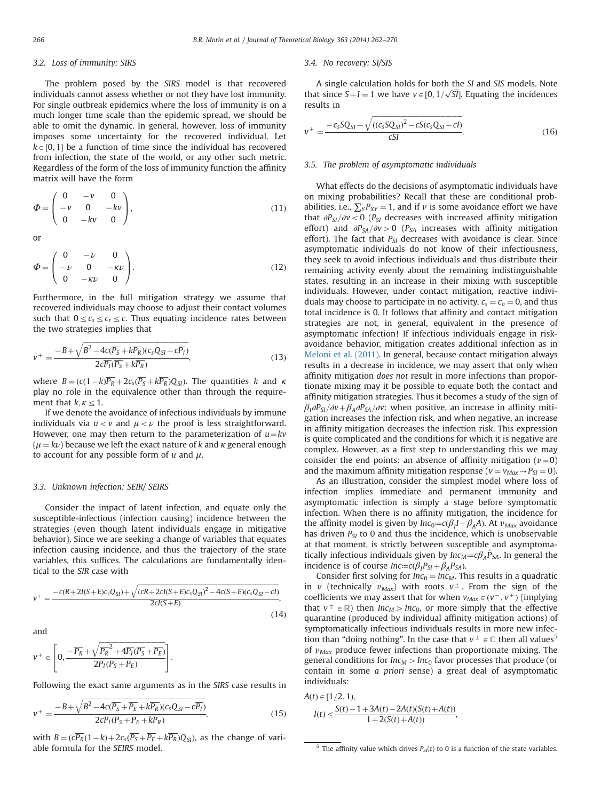### 3.2. Loss of immunity: SIRS

The problem posed by the SIRS model is that recovered individuals cannot assess whether or not they have lost immunity. For single outbreak epidemics where the loss of immunity is on a much longer time scale than the epidemic spread, we should be able to omit the dynamic. In general, however, loss of immunity imposes some uncertainty for the recovered individual. Let  $k \in [0, 1]$  be a function of time since the individual has recovered from infection, the state of the world, or any other such metric. Regardless of the form of the loss of immunity function the affinity matrix will have the form

$$
\Phi = \begin{pmatrix} 0 & -v & 0 \\ -v & 0 & -kv \\ 0 & -kv & 0 \end{pmatrix},
$$
(11)

or

$$
\Phi = \begin{pmatrix} 0 & -\nu & 0 \\ -\nu & 0 & -\kappa \nu \\ 0 & -\kappa \nu & 0 \end{pmatrix} .
$$
 (12)

Furthermore, in the full mitigation strategy we assume that recovered individuals may choose to adjust their contact volumes such that  $0 \leq c_s \leq c_r \leq c$ . Thus equating incidence rates between the two strategies implies that

$$
v^{+} = \frac{-B + \sqrt{B^2 - 4c(\overline{P_S} + k\overline{P_R})(c_s Q_{SI} - c\overline{P_I})}}{2c\overline{P_I}(\overline{P_S} + k\overline{P_R})},
$$
(13)

where  $B = (c(1-k)\overline{P_R} + 2c_s(\overline{P_S} + k\overline{P_R})Q_{SI})$ . The quantities k and  $\kappa$ play no role in the equivalence other than through the requirement that  $k, \kappa \leq 1$ .

If we denote the avoidance of infectious individuals by immune individuals via  $u < v$  and  $\mu < \nu$  the proof is less straightforward. However, one may then return to the parameterization of  $u=kv$  $(\mu = k\nu)$  because we left the exact nature of k and  $\kappa$  general enough to account for any possible form of  $u$  and  $\mu$ .

### 3.3. Unknown infection: SEIR/ SEIRS

Consider the impact of latent infection, and equate only the susceptible-infectious (infection causing) incidence between the strategies (even though latent individuals engage in mitigative behavior). Since we are seeking a change of variables that equates infection causing incidence, and thus the trajectory of the state variables, this suffices. The calculations are fundamentally identical to the SIR case with

$$
v^{+} = \frac{-c(R+2I(S+E)c_{S}Q_{SI}) + \sqrt{(cR+2cl(S+E)c_{S}Q_{SI})^{2} - 4c(S+E)(c_{S}Q_{SI} - cl)}}{2cl(S+E)},
$$
\n(14)

and

$$
\nu^+ \in \left[0, \dfrac{-\overline{P_R} + \sqrt{\overline{P_R}^2 + 4\overline{P_I}(\overline{P_S} + \overline{P_E})}}{2\overline{P_I}(\overline{P_S} + \overline{P_E})}\right].
$$

Following the exact same arguments as in the SIRS case results in

$$
v^{+} = \frac{-B + \sqrt{B^2 - 4c(P_S + \overline{P_E} + k\overline{P_R})(c_s Q_{SI} - c\overline{P_I})}}{2c\overline{P_I}(\overline{P_S} + \overline{P_E} + k\overline{P_R})},
$$
(15)

with  $B = (c\overline{P_R}(1-k) + 2c_s(\overline{P_S} + \overline{P_E} + k\overline{P_R})Q_{SI})$ , as the change of variable formula for the SEIRS model.

#### 3.4. No recovery: SI/SIS

A single calculation holds for both the SI and SIS models. Note that since  $S+I=1$  we have  $v \in [0, 1/\sqrt{SI}]$ . Equating the incidences results in results in

$$
v^{+} = \frac{-c_{s}SQ_{SI} + \sqrt{((c_{s}SQ_{SI})^{2} - cS(c_{s}Q_{SI} - cI)}}{cSI}.
$$
\n(16)

# 3.5. The problem of asymptomatic individuals

What effects do the decisions of asymptomatic individuals have on mixing probabilities? Recall that these are conditional probabilities, i.e.,  $\sum_{Y} P_{XY} = 1$ , and if v is some avoidance effort we have that  $\partial P_{SI}/\partial v$  < 0 (P<sub>SI</sub> decreases with increased affinity mitigation effort) and  $\partial P_{SA}/\partial v>0$  (P<sub>SA</sub> increases with affinity mitigation effort). The fact that  $P_{SI}$  decreases with avoidance is clear. Since asymptomatic individuals do not know of their infectiousness, they seek to avoid infectious individuals and thus distribute their remaining activity evenly about the remaining indistinguishable states, resulting in an increase in their mixing with susceptible individuals. However, under contact mitigation, reactive individuals may choose to participate in no activity,  $c_s = c_a = 0$ , and thus total incidence is 0. It follows that affinity and contact mitigation strategies are not, in general, equivalent in the presence of asymptomatic infection! If infectious individuals engage in riskavoidance behavior, mitigation creates additional infection as in [Meloni et al. \(2011\).](#page-8-0) In general, because contact mitigation always results in a decrease in incidence, we may assert that only when affinity mitigation does not result in more infections than proportionate mixing may it be possible to equate both the contact and affinity mitigation strategies. Thus it becomes a study of the sign of  $\beta_1\partial P_{SI}/\partial v+\beta_A\partial P_{SA}/\partial v$ : when positive, an increase in affinity mitigation increases the infection risk, and when negative, an increase in affinity mitigation decreases the infection risk. This expression is quite complicated and the conditions for which it is negative are complex. However, as a first step to understanding this we may consider the end points: an absence of affinity mitigation  $(v=0)$ and the maximum affinity mitigation response ( $v = v_{Max} \rightarrow P_{SI} = 0$ ).

As an illustration, consider the simplest model where loss of infection implies immediate and permanent immunity and asymptomatic infection is simply a stage before symptomatic infection. When there is no affinity mitigation, the incidence for the affinity model is given by  $Inc_0:=c(\beta_I I+\beta_A A)$ . At  $\nu_{Max}$  avoidance has driven  $P_{SI}$  to 0 and thus the incidence, which is unobservable at that moment, is strictly between susceptible and asymptomatically infectious individuals given by  $Inc_{M} := c\beta_{A} \hat{P}_{SA}$ . In general the incidence is of course  $Inc = c(\beta_I P_{SI} + \beta_A P_{SA})$ .

Consider first solving for  $Inc_0 = Inc_M$ . This results in a quadratic in v (technically  $v_{\text{Max}}$ ) with roots  $v^{\pm}$ . From the sign of the coefficients we may assert that for when  $v_{Max} \in (v^-, v^+)$  (implying that  $v^{\pm} \in \mathbb{R}$ ) then  $Inc_M > Inc_0$ , or more simply that the effective quarantine (produced by individual affinity mitigation actions) of symptomatically infectious individuals results in more new infection than "doing nothing". In the case that  $v^{\pm} \in \mathbb{C}$  then all values<sup>5</sup> of  $v_{\text{Max}}$  produce fewer infections than proportionate mixing. The general conditions for  $Inc_M > Inc_0$  favor processes that produce (or contain in some a priori sense) a great deal of asymptomatic individuals:

$$
A(t) \in [1/2, 1),
$$
  
\n
$$
I(t) \le \frac{S(t) - 1 + 3A(t) - 2A(t)(S(t) + A(t))}{1 + 2(S(t) + A(t))},
$$

<sup>&</sup>lt;sup>5</sup> The affinity value which drives  $P_{SI}(t)$  to 0 is a function of the state variables.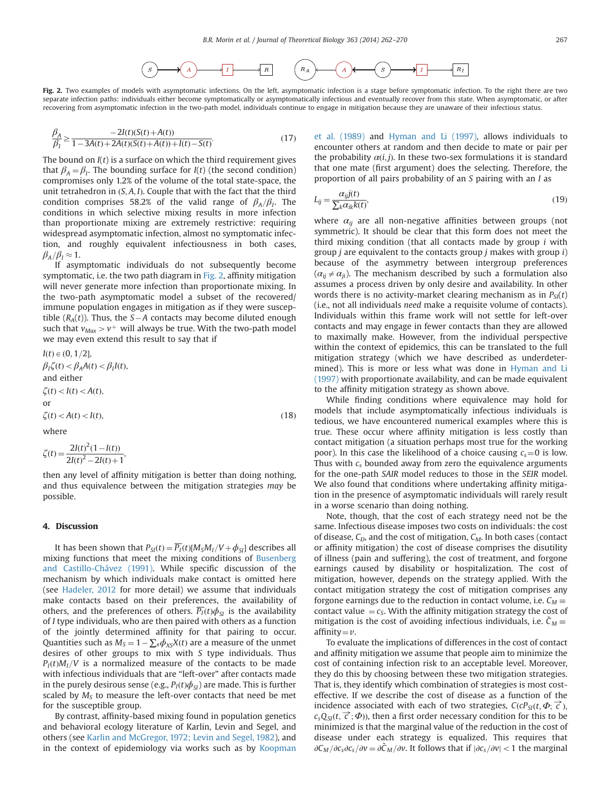

Fig. 2. Two examples of models with asymptomatic infections. On the left, asymptomatic infection is a stage before symptomatic infection. To the right there are two separate infection paths: individuals either become symptomatically or asymptomatically infectious and eventually recover from this state. When asymptomatic, or after recovering from asymptomatic infection in the two-path model, individuals continue to engage in mitigation because they are unaware of their infectious status.

$$
\frac{\beta_A}{\beta_I} \ge \frac{-2I(t)(S(t) + A(t))}{1 - 3A(t) + 2A(t)(S(t) + A(t)) + I(t) - S(t)}.
$$
\n(17)

The bound on  $I(t)$  is a surface on which the third requirement gives that  $\beta_A = \beta_I$ . The bounding surface for  $I(t)$  (the second condition) compromises only 1.2% of the volume of the total state-space, the unit tetrahedron in  $(S, A, I)$ . Couple that with the fact that the third condition comprises 58.2% of the valid range of  $\beta_A/\beta_I$ . The conditions in which selective mixing results in more infection than proportionate mixing are extremely restrictive: requiring widespread asymptomatic infection, almost no symptomatic infection, and roughly equivalent infectiousness in both cases,  $\beta_A/\beta_I \approx 1.$ 

If asymptomatic individuals do not subsequently become symptomatic, i.e. the two path diagram in Fig. 2, affinity mitigation will never generate more infection than proportionate mixing. In the two-path asymptomatic model a subset of the recovered/ immune population engages in mitigation as if they were susceptible  $(R_A(t))$ . Thus, the S-A contacts may become diluted enough such that  $v_{Max} > v^{+}$  will always be true. With the two-path model we may even extend this result to say that if

$$
I(t) \in (0, 1/2],
$$
  
\n
$$
\beta_1 \zeta(t) < \beta_A A(t) < \beta_I I(t),
$$
  
\nand either  
\n
$$
\zeta(t) < I(t) < A(t),
$$
  
\nor  
\n
$$
\zeta(t) < A(t) < I(t),
$$
\n(18)  
\nwhere

where

$$
\zeta(t) = \frac{2I(t)^{2}(1 - I(t))}{2I(t)^{2} - 2I(t) + 1},
$$

then any level of affinity mitigation is better than doing nothing, and thus equivalence between the mitigation strategies may be possible.

## 4. Discussion

It has been shown that  $P_{SI}(t) = \overline{P_I}(t)[M_S M_I / V + \phi_{SI}]$  describes all mixing functions that meet the mixing conditions of [Busenberg](#page-8-0) [and Castillo-Chávez \(1991\)](#page-8-0). While specific discussion of the mechanism by which individuals make contact is omitted here (see [Hadeler, 2012](#page-8-0) for more detail) we assume that individuals make contacts based on their preferences, the availability of others, and the preferences of others.  $\overline{P_I}(t)\phi_{SI}$  is the availability of I type individuals, who are then paired with others as a function of the jointly determined affinity for that pairing to occur. Quantities such as  $M_s = 1 - \sum_{x} \phi_{xS}X(t)$  are a measure of the unmet desires of other groups to mix with S type individuals. Thus  $P_I(t)M_I/V$  is a normalized measure of the contacts to be made with infectious individuals that are "left-over" after contacts made in the purely desirous sense (e.g.,  $P_I(t)\phi_{SI}$ ) are made. This is further scaled by  $M<sub>S</sub>$  to measure the left-over contacts that need be met for the susceptible group.

By contrast, affinity-based mixing found in population genetics and behavioral ecology literature of Karlin, Levin and Segel, and others (see [Karlin and McGregor, 1972; Levin and Segel, 1982](#page-8-0)), and in the context of epidemiology via works such as by [Koopman](#page-8-0) [et al. \(1989\)](#page-8-0) and [Hyman and Li \(1997\),](#page-8-0) allows individuals to encounter others at random and then decide to mate or pair per the probability  $\alpha(i, j)$ . In these two-sex formulations it is standard that one mate (first argument) does the selecting. Therefore, the proportion of all pairs probability of an S pairing with an I as

$$
L_{ij} = \frac{\alpha_{ij}j(t)}{\sum_{k}\alpha_{ik}k(t)},
$$
\n(19)

where  $\alpha_{ij}$  are all non-negative affinities between groups (not symmetric). It should be clear that this form does not meet the third mixing condition (that all contacts made by group  $i$  with group  $j$  are equivalent to the contacts group  $j$  makes with group  $i$ ) because of the asymmetry between intergroup preferences  $(\alpha_{ii} \neq \alpha_{ii})$ . The mechanism described by such a formulation also assumes a process driven by only desire and availability. In other words there is no activity-market clearing mechanism as in  $P_{SI}(t)$ (i.e., not all individuals need make a requisite volume of contacts). Individuals within this frame work will not settle for left-over contacts and may engage in fewer contacts than they are allowed to maximally make. However, from the individual perspective within the context of epidemics, this can be translated to the full mitigation strategy (which we have described as underdetermined). This is more or less what was done in [Hyman and Li](#page-8-0) [\(1997\)](#page-8-0) with proportionate availability, and can be made equivalent to the affinity mitigation strategy as shown above.

While finding conditions where equivalence may hold for models that include asymptomatically infectious individuals is tedious, we have encountered numerical examples where this is true. These occur where affinity mitigation is less costly than contact mitigation (a situation perhaps most true for the working poor). In this case the likelihood of a choice causing  $c_s = 0$  is low. Thus with  $c_s$  bounded away from zero the equivalence arguments for the one-path SAIR model reduces to those in the SEIR model. We also found that conditions where undertaking affinity mitigation in the presence of asymptomatic individuals will rarely result in a worse scenario than doing nothing.

Note, though, that the cost of each strategy need not be the same. Infectious disease imposes two costs on individuals: the cost of disease,  $C_D$ , and the cost of mitigation,  $C_M$ . In both cases (contact or affinity mitigation) the cost of disease comprises the disutility of illness (pain and suffering), the cost of treatment, and forgone earnings caused by disability or hospitalization. The cost of mitigation, however, depends on the strategy applied. With the contact mitigation strategy the cost of mitigation comprises any forgone earnings due to the reduction in contact volume, i.e.  $C_M \equiv$ contact value  $=c<sub>S</sub>$ . With the affinity mitigation strategy the cost of mitigation is the cost of avoiding infectious individuals, i.e.  $\tilde{C}_M \equiv 2 \text{f} \ln \text{i} t \cdot y - \text{i} t$ affinity $=v$ .

To evaluate the implications of differences in the cost of contact and affinity mitigation we assume that people aim to minimize the cost of containing infection risk to an acceptable level. Moreover, they do this by choosing between these two mitigation strategies. That is, they identify which combination of strategies is most costeffective. If we describe the cost of disease as a function of the incidence associated with each of two strategies,  $C(cP_{SI}(t, \Phi; \vec{C}))$ <br>c  $Q_{SI}(t, \vec{C})$ ; then a first order pecessary condition for this to be  $c_sQ_{SI}(t, \vec{c}; \Phi)$ ), then a first order necessary condition for this to be minimized is that the marginal value of the reduction in the cost of minimized is that the marginal value of the reduction in the cost of disease under each strategy is equalized. This requires that  $\partial C_M/\partial c_s\partial c_s/\partial v = \partial \tilde{C}_M/\partial v$ . It follows that if  $|\partial c_s/\partial v| < 1$  the marginal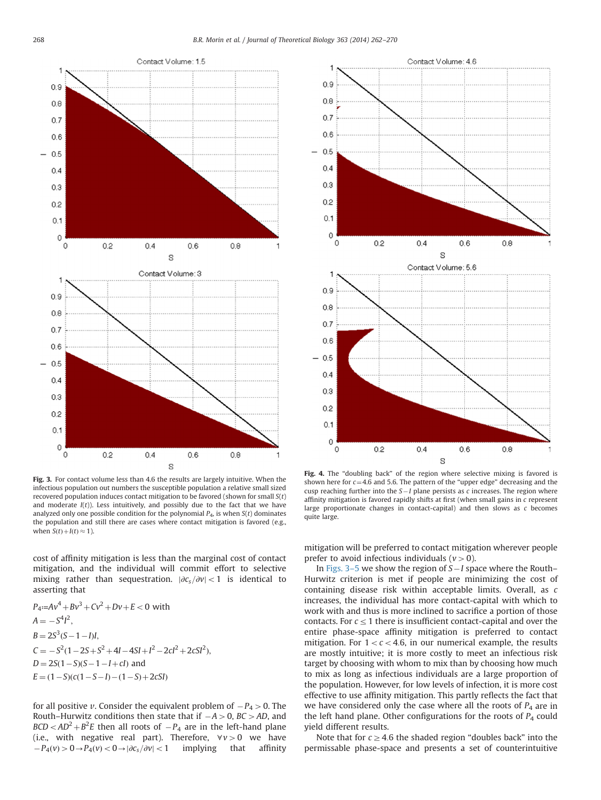

Fig. 3. For contact volume less than 4.6 the results are largely intuitive. When the infectious population out numbers the susceptible population a relative small sized recovered population induces contact mitigation to be favored (shown for small  $S(t)$ ) and moderate  $I(t)$ ). Less intuitively, and possibly due to the fact that we have analyzed only one possible condition for the polynomial  $P_4$ , is when  $S(t)$  dominates the population and still there are cases where contact mitigation is favored (e.g., when  $S(t) + I(t) \approx 1$ ).

cost of affinity mitigation is less than the marginal cost of contact mitigation, and the individual will commit effort to selective mixing rather than sequestration.  $|\partial c_s/\partial v| < 1$  is identical to asserting that

 $P_4 = Av^4 + Bv^3 + Cv^2 + Dv + E < 0$  with  $A = -S^4I^2,$  $B = 2S^3(S - 1 - I)I,$  $C = -S^2(1-2S+S^2+4I-4SI+I^2-2CI^2+2CSI^2),$  $D = 2S(1-S)(S-1-I+cI)$  and  $E = (1-S)(c(1-S-I) - (1-S) + 2cSI)$ 

for all positive v. Consider the equivalent problem of  $-P_4 > 0$ . The Routh–Hurwitz conditions then state that if  $-A > 0$ , BC  $>$ AD, and  $BCD < AD^2 + B^2E$  then all roots of  $-P_4$  are in the left-hand plane (i.e., with negative real part). Therefore,  $\forall v > 0$  we have  $-P_4(v) > 0 \rightarrow P_4(v) < 0 \rightarrow |\partial c_s/\partial v| < 1$  implying that affinity



Fig. 4. The "doubling back" of the region where selective mixing is favored is shown here for  $c=4.6$  and 5.6. The pattern of the "upper edge" decreasing and the cusp reaching further into the  $S-I$  plane persists as c increases. The region where affinity mitigation is favored rapidly shifts at first (when small gains in c represent large proportionate changes in contact-capital) and then slows as c becomes quite large.

mitigation will be preferred to contact mitigation wherever people prefer to avoid infectious individuals ( $v > 0$ ).

In [Figs. 3](#page-7-0)–5 we show the region of  $S-I$  space where the Routh– Hurwitz criterion is met if people are minimizing the cost of containing disease risk within acceptable limits. Overall, as c increases, the individual has more contact-capital with which to work with and thus is more inclined to sacrifice a portion of those contacts. For  $c \leq 1$  there is insufficient contact-capital and over the entire phase-space affinity mitigation is preferred to contact mitigation. For  $1 < c < 4.6$ , in our numerical example, the results are mostly intuitive; it is more costly to meet an infectious risk target by choosing with whom to mix than by choosing how much to mix as long as infectious individuals are a large proportion of the population. However, for low levels of infection, it is more cost effective to use affinity mitigation. This partly reflects the fact that we have considered only the case where all the roots of  $P_4$  are in the left hand plane. Other configurations for the roots of  $P_4$  could yield different results.

Note that for  $c \geq 4.6$  the shaded region "doubles back" into the permissable phase-space and presents a set of counterintuitive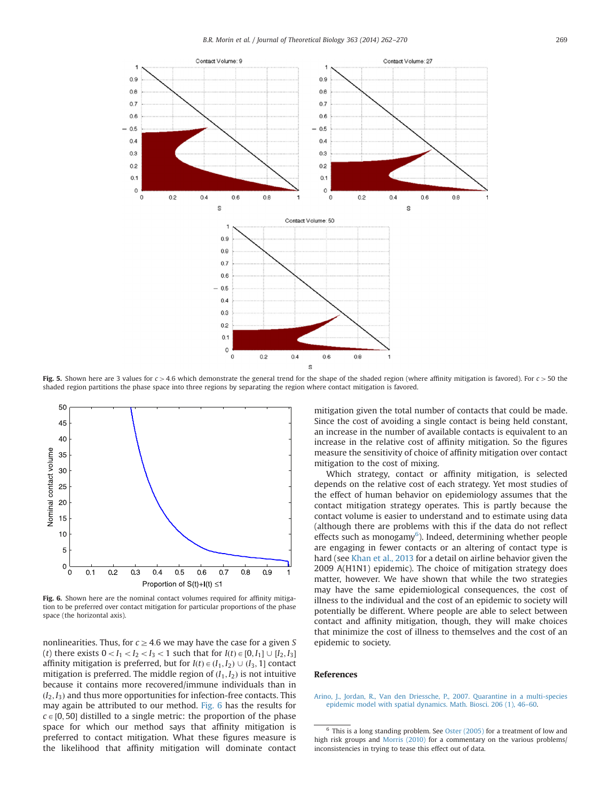<span id="page-7-0"></span>

Fig. 5. Shown here are 3 values for  $c > 4.6$  which demonstrate the general trend for the shape of the shaded region (where affinity mitigation is favored). For  $c > 50$  the shaded region partitions the phase space into three regions by separating the region where contact mitigation is favored.



Fig. 6. Shown here are the nominal contact volumes required for affinity mitigation to be preferred over contact mitigation for particular proportions of the phase space (the horizontal axis).

nonlinearities. Thus, for  $c \geq 4.6$  we may have the case for a given S (t) there exists  $0 < I_1 < I_2 < I_3 < 1$  such that for  $I(t) \in [0, I_1] \cup [I_2, I_3]$ affinity mitigation is preferred, but for  $I(t) \in (I_1, I_2) \cup (I_3, 1]$  contact mitigation is preferred. The middle region of  $(I_1, I_2)$  is not intuitive because it contains more recovered/immune individuals than in  $(I_2, I_3)$  and thus more opportunities for infection-free contacts. This may again be attributed to our method. Fig. 6 has the results for  $c \in [0, 50]$  distilled to a single metric: the proportion of the phase space for which our method says that affinity mitigation is preferred to contact mitigation. What these figures measure is the likelihood that affinity mitigation will dominate contact mitigation given the total number of contacts that could be made. Since the cost of avoiding a single contact is being held constant, an increase in the number of available contacts is equivalent to an increase in the relative cost of affinity mitigation. So the figures measure the sensitivity of choice of affinity mitigation over contact mitigation to the cost of mixing.

Which strategy, contact or affinity mitigation, is selected depends on the relative cost of each strategy. Yet most studies of the effect of human behavior on epidemiology assumes that the contact mitigation strategy operates. This is partly because the contact volume is easier to understand and to estimate using data (although there are problems with this if the data do not reflect effects such as monogamy<sup>6</sup>). Indeed, determining whether people are engaging in fewer contacts or an altering of contact type is hard (see [Khan et al., 2013](#page-8-0) for a detail on airline behavior given the 2009 A(H1N1) epidemic). The choice of mitigation strategy does matter, however. We have shown that while the two strategies may have the same epidemiological consequences, the cost of illness to the individual and the cost of an epidemic to society will potentially be different. Where people are able to select between contact and affinity mitigation, though, they will make choices that minimize the cost of illness to themselves and the cost of an epidemic to society.

## References

[Arino, J., Jordan, R., Van den Driessche, P., 2007. Quarantine in a multi-species](http://refhub.elsevier.com/S0022-5193(14)00471-8/sbref1) [epidemic model with spatial dynamics. Math. Biosci. 206 \(1\), 46](http://refhub.elsevier.com/S0022-5193(14)00471-8/sbref1)–60.

 $6$  This is a long standing problem. See [Oster \(2005\)](#page-8-0) for a treatment of low and high risk groups and [Morris \(2010\)](#page-8-0) for a commentary on the various problems/ inconsistencies in trying to tease this effect out of data.